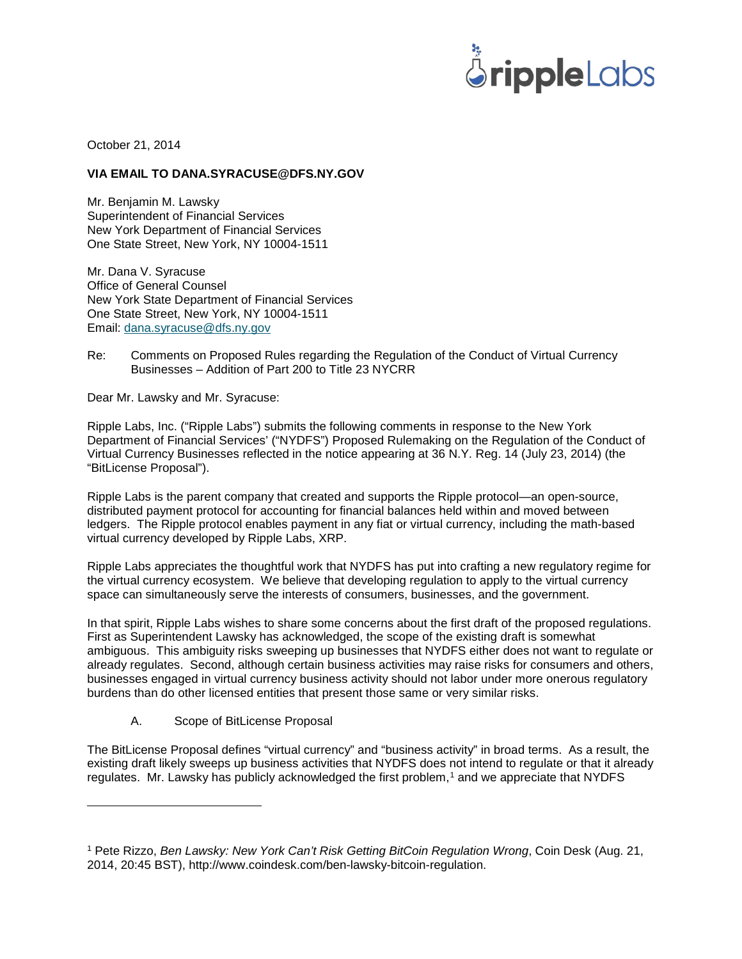

October 21, 2014

## **VIA EMAIL TO DANA.SYRACUSE@DFS.NY.GOV**

Mr. Benjamin M. Lawsky Superintendent of Financial Services New York Department of Financial Services One State Street, New York, NY 10004-1511

Mr. Dana V. Syracuse Office of General Counsel New York State Department of Financial Services One State Street, New York, NY 10004-1511 Email: [dana.syracuse@dfs.ny.gov](mailto:dana.syracuse@dfs.ny.gov)

Re: Comments on Proposed Rules regarding the Regulation of the Conduct of Virtual Currency Businesses – Addition of Part 200 to Title 23 NYCRR

Dear Mr. Lawsky and Mr. Syracuse:

Ripple Labs, Inc. ("Ripple Labs") submits the following comments in response to the New York Department of Financial Services' ("NYDFS") Proposed Rulemaking on the Regulation of the Conduct of Virtual Currency Businesses reflected in the notice appearing at 36 N.Y. Reg. 14 (July 23, 2014) (the "BitLicense Proposal").

Ripple Labs is the parent company that created and supports the Ripple protocol—an open-source, distributed payment protocol for accounting for financial balances held within and moved between ledgers. The Ripple protocol enables payment in any fiat or virtual currency, including the math-based virtual currency developed by Ripple Labs, XRP.

Ripple Labs appreciates the thoughtful work that NYDFS has put into crafting a new regulatory regime for the virtual currency ecosystem. We believe that developing regulation to apply to the virtual currency space can simultaneously serve the interests of consumers, businesses, and the government.

In that spirit, Ripple Labs wishes to share some concerns about the first draft of the proposed regulations. First as Superintendent Lawsky has acknowledged, the scope of the existing draft is somewhat ambiguous. This ambiguity risks sweeping up businesses that NYDFS either does not want to regulate or already regulates. Second, although certain business activities may raise risks for consumers and others, businesses engaged in virtual currency business activity should not labor under more onerous regulatory burdens than do other licensed entities that present those same or very similar risks.

A. Scope of BitLicense Proposal

 $\overline{a}$ 

The BitLicense Proposal defines "virtual currency" and "business activity" in broad terms. As a result, the existing draft likely sweeps up business activities that NYDFS does not intend to regulate or that it already regulates. Mr. Lawsky has publicly acknowledged the first problem,<sup>[1](#page-0-0)</sup> and we appreciate that NYDFS

<span id="page-0-0"></span><sup>1</sup> Pete Rizzo, *Ben Lawsky: New York Can't Risk Getting BitCoin Regulation Wrong*, Coin Desk (Aug. 21, 2014, 20:45 BST), http://www.coindesk.com/ben-lawsky-bitcoin-regulation.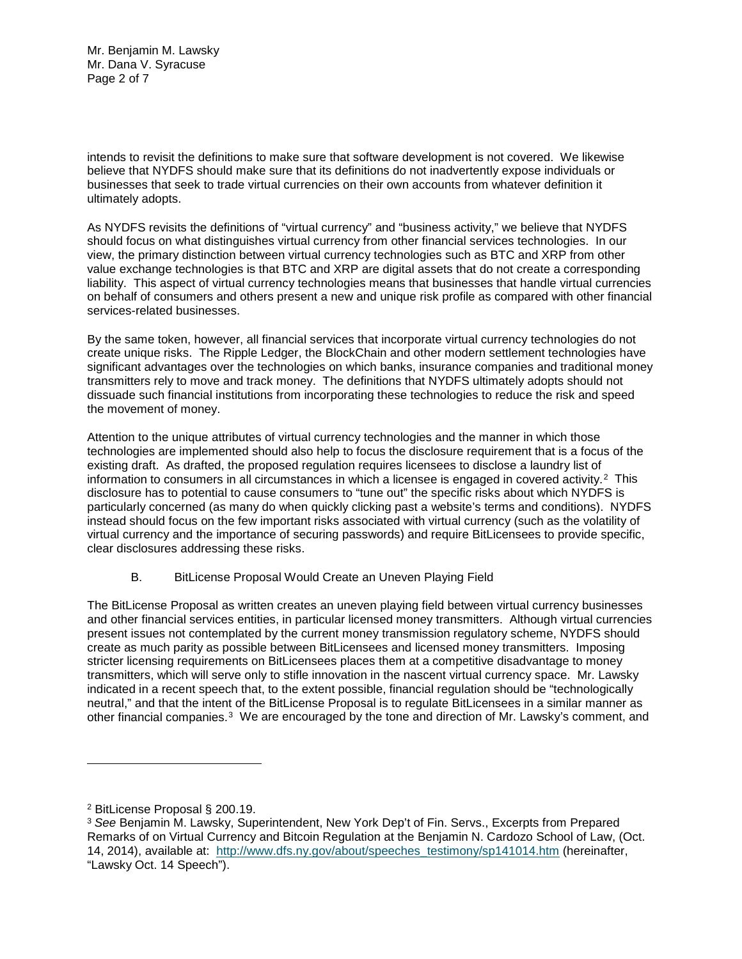Mr. Benjamin M. Lawsky Mr. Dana V. Syracuse Page 2 of 7

intends to revisit the definitions to make sure that software development is not covered. We likewise believe that NYDFS should make sure that its definitions do not inadvertently expose individuals or businesses that seek to trade virtual currencies on their own accounts from whatever definition it ultimately adopts.

As NYDFS revisits the definitions of "virtual currency" and "business activity," we believe that NYDFS should focus on what distinguishes virtual currency from other financial services technologies. In our view, the primary distinction between virtual currency technologies such as BTC and XRP from other value exchange technologies is that BTC and XRP are digital assets that do not create a corresponding liability. This aspect of virtual currency technologies means that businesses that handle virtual currencies on behalf of consumers and others present a new and unique risk profile as compared with other financial services-related businesses.

By the same token, however, all financial services that incorporate virtual currency technologies do not create unique risks. The Ripple Ledger, the BlockChain and other modern settlement technologies have significant advantages over the technologies on which banks, insurance companies and traditional money transmitters rely to move and track money. The definitions that NYDFS ultimately adopts should not dissuade such financial institutions from incorporating these technologies to reduce the risk and speed the movement of money.

Attention to the unique attributes of virtual currency technologies and the manner in which those technologies are implemented should also help to focus the disclosure requirement that is a focus of the existing draft. As drafted, the proposed regulation requires licensees to disclose a laundry list of information to consumers in all circumstances in which a licensee is engaged in covered activity.[2](#page-1-0) This disclosure has to potential to cause consumers to "tune out" the specific risks about which NYDFS is particularly concerned (as many do when quickly clicking past a website's terms and conditions). NYDFS instead should focus on the few important risks associated with virtual currency (such as the volatility of virtual currency and the importance of securing passwords) and require BitLicensees to provide specific, clear disclosures addressing these risks.

## B. BitLicense Proposal Would Create an Uneven Playing Field

The BitLicense Proposal as written creates an uneven playing field between virtual currency businesses and other financial services entities, in particular licensed money transmitters. Although virtual currencies present issues not contemplated by the current money transmission regulatory scheme, NYDFS should create as much parity as possible between BitLicensees and licensed money transmitters. Imposing stricter licensing requirements on BitLicensees places them at a competitive disadvantage to money transmitters, which will serve only to stifle innovation in the nascent virtual currency space. Mr. Lawsky indicated in a recent speech that, to the extent possible, financial regulation should be "technologically neutral," and that the intent of the BitLicense Proposal is to regulate BitLicensees in a similar manner as other financial companies.<sup>[3](#page-1-1)</sup> We are encouraged by the tone and direction of Mr. Lawsky's comment, and

<span id="page-1-0"></span><sup>2</sup> BitLicense Proposal § 200.19.

<span id="page-1-1"></span><sup>3</sup> *See* Benjamin M. Lawsky, Superintendent, New York Dep't of Fin. Servs., Excerpts from Prepared Remarks of on Virtual Currency and Bitcoin Regulation at the Benjamin N. Cardozo School of Law, (Oct. 14, 2014), available at: [http://www.dfs.ny.gov/about/speeches\\_testimony/sp141014.htm](http://www.dfs.ny.gov/about/speeches_testimony/sp141014.htm) (hereinafter, "Lawsky Oct. 14 Speech").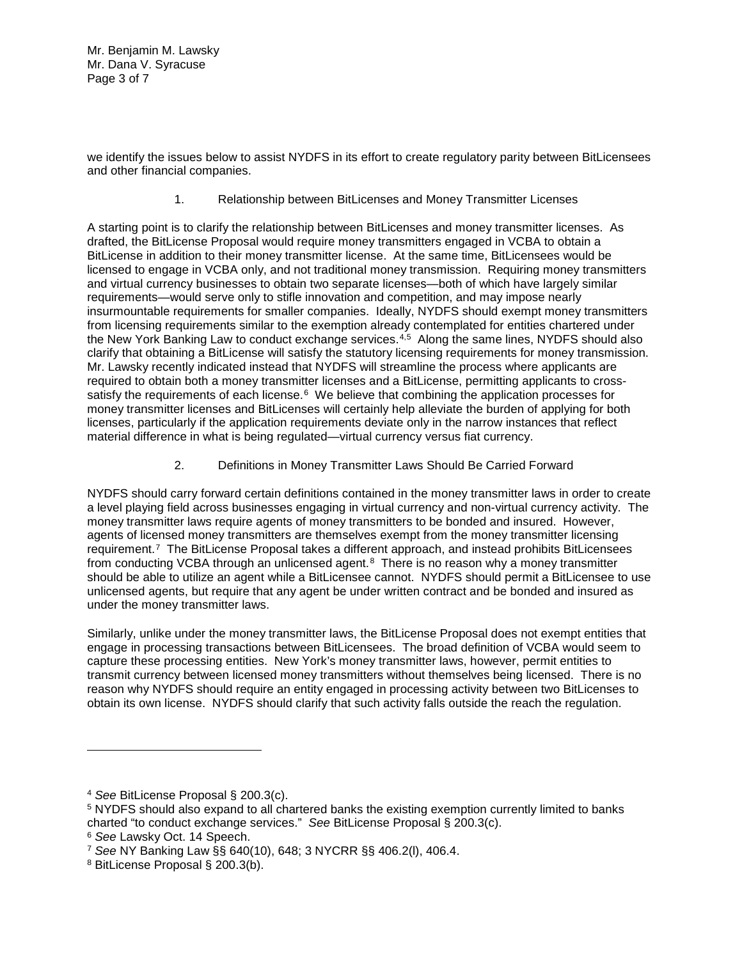Mr. Benjamin M. Lawsky Mr. Dana V. Syracuse Page 3 of 7

we identify the issues below to assist NYDFS in its effort to create regulatory parity between BitLicensees and other financial companies.

1. Relationship between BitLicenses and Money Transmitter Licenses

A starting point is to clarify the relationship between BitLicenses and money transmitter licenses. As drafted, the BitLicense Proposal would require money transmitters engaged in VCBA to obtain a BitLicense in addition to their money transmitter license. At the same time, BitLicensees would be licensed to engage in VCBA only, and not traditional money transmission. Requiring money transmitters and virtual currency businesses to obtain two separate licenses—both of which have largely similar requirements—would serve only to stifle innovation and competition, and may impose nearly insurmountable requirements for smaller companies. Ideally, NYDFS should exempt money transmitters from licensing requirements similar to the exemption already contemplated for entities chartered under the New York Banking Law to conduct exchange services.<sup>[4](#page-2-0),[5](#page-2-1)</sup> Along the same lines, NYDFS should also clarify that obtaining a BitLicense will satisfy the statutory licensing requirements for money transmission. Mr. Lawsky recently indicated instead that NYDFS will streamline the process where applicants are required to obtain both a money transmitter licenses and a BitLicense, permitting applicants to crosssatisfy the requirements of each license.<sup>6</sup> We believe that combining the application processes for money transmitter licenses and BitLicenses will certainly help alleviate the burden of applying for both licenses, particularly if the application requirements deviate only in the narrow instances that reflect material difference in what is being regulated—virtual currency versus fiat currency.

2. Definitions in Money Transmitter Laws Should Be Carried Forward

NYDFS should carry forward certain definitions contained in the money transmitter laws in order to create a level playing field across businesses engaging in virtual currency and non-virtual currency activity. The money transmitter laws require agents of money transmitters to be bonded and insured. However, agents of licensed money transmitters are themselves exempt from the money transmitter licensing requirement.[7](#page-2-3) The BitLicense Proposal takes a different approach, and instead prohibits BitLicensees from conducting VCBA through an unlicensed agent. $8$  There is no reason why a money transmitter should be able to utilize an agent while a BitLicensee cannot. NYDFS should permit a BitLicensee to use unlicensed agents, but require that any agent be under written contract and be bonded and insured as under the money transmitter laws.

Similarly, unlike under the money transmitter laws, the BitLicense Proposal does not exempt entities that engage in processing transactions between BitLicensees. The broad definition of VCBA would seem to capture these processing entities. New York's money transmitter laws, however, permit entities to transmit currency between licensed money transmitters without themselves being licensed. There is no reason why NYDFS should require an entity engaged in processing activity between two BitLicenses to obtain its own license. NYDFS should clarify that such activity falls outside the reach the regulation.

<span id="page-2-0"></span><sup>4</sup> *See* BitLicense Proposal § 200.3(c).

<span id="page-2-1"></span><sup>5</sup> NYDFS should also expand to all chartered banks the existing exemption currently limited to banks charted "to conduct exchange services." *See* BitLicense Proposal § 200.3(c).

<span id="page-2-2"></span><sup>6</sup> *See* Lawsky Oct. 14 Speech.

<span id="page-2-3"></span><sup>7</sup> *See* NY Banking Law §§ 640(10), 648; 3 NYCRR §§ 406.2(l), 406.4.

<span id="page-2-4"></span><sup>8</sup> BitLicense Proposal § 200.3(b).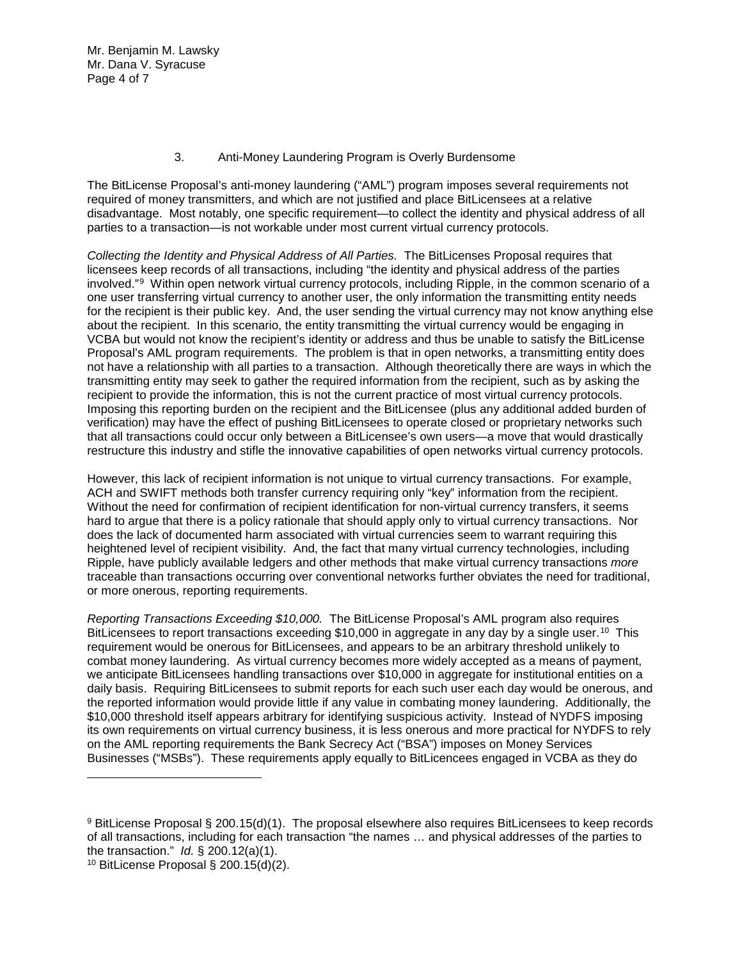Mr. Benjamin M. Lawsky Mr. Dana V. Syracuse Page 4 of 7

## 3. Anti-Money Laundering Program is Overly Burdensome

The BitLicense Proposal's anti-money laundering ("AML") program imposes several requirements not required of money transmitters, and which are not justified and place BitLicensees at a relative disadvantage. Most notably, one specific requirement—to collect the identity and physical address of all parties to a transaction—is not workable under most current virtual currency protocols.

*Collecting the Identity and Physical Address of All Parties.* The BitLicenses Proposal requires that licensees keep records of all transactions, including "the identity and physical address of the parties involved."[9](#page-3-0) Within open network virtual currency protocols, including Ripple, in the common scenario of a one user transferring virtual currency to another user, the only information the transmitting entity needs for the recipient is their public key. And, the user sending the virtual currency may not know anything else about the recipient. In this scenario, the entity transmitting the virtual currency would be engaging in VCBA but would not know the recipient's identity or address and thus be unable to satisfy the BitLicense Proposal's AML program requirements. The problem is that in open networks, a transmitting entity does not have a relationship with all parties to a transaction. Although theoretically there are ways in which the transmitting entity may seek to gather the required information from the recipient, such as by asking the recipient to provide the information, this is not the current practice of most virtual currency protocols. Imposing this reporting burden on the recipient and the BitLicensee (plus any additional added burden of verification) may have the effect of pushing BitLicensees to operate closed or proprietary networks such that all transactions could occur only between a BitLicensee's own users—a move that would drastically restructure this industry and stifle the innovative capabilities of open networks virtual currency protocols.

However, this lack of recipient information is not unique to virtual currency transactions. For example, ACH and SWIFT methods both transfer currency requiring only "key" information from the recipient. Without the need for confirmation of recipient identification for non-virtual currency transfers, it seems hard to argue that there is a policy rationale that should apply only to virtual currency transactions. Nor does the lack of documented harm associated with virtual currencies seem to warrant requiring this heightened level of recipient visibility. And, the fact that many virtual currency technologies, including Ripple, have publicly available ledgers and other methods that make virtual currency transactions *more* traceable than transactions occurring over conventional networks further obviates the need for traditional, or more onerous, reporting requirements.

*Reporting Transactions Exceeding \$10,000.* The BitLicense Proposal's AML program also requires BitLicensees to report transactions exceeding \$10,000 in aggregate in any day by a single user.<sup>10</sup> This requirement would be onerous for BitLicensees, and appears to be an arbitrary threshold unlikely to combat money laundering. As virtual currency becomes more widely accepted as a means of payment, we anticipate BitLicensees handling transactions over \$10,000 in aggregate for institutional entities on a daily basis. Requiring BitLicensees to submit reports for each such user each day would be onerous, and the reported information would provide little if any value in combating money laundering. Additionally, the \$10,000 threshold itself appears arbitrary for identifying suspicious activity. Instead of NYDFS imposing its own requirements on virtual currency business, it is less onerous and more practical for NYDFS to rely on the AML reporting requirements the Bank Secrecy Act ("BSA") imposes on Money Services Businesses ("MSBs"). These requirements apply equally to BitLicencees engaged in VCBA as they do

<span id="page-3-0"></span><sup>9</sup> BitLicense Proposal § 200.15(d)(1). The proposal elsewhere also requires BitLicensees to keep records of all transactions, including for each transaction "the names … and physical addresses of the parties to the transaction." *Id.* § 200.12(a)(1).

<span id="page-3-1"></span><sup>10</sup> BitLicense Proposal § 200.15(d)(2).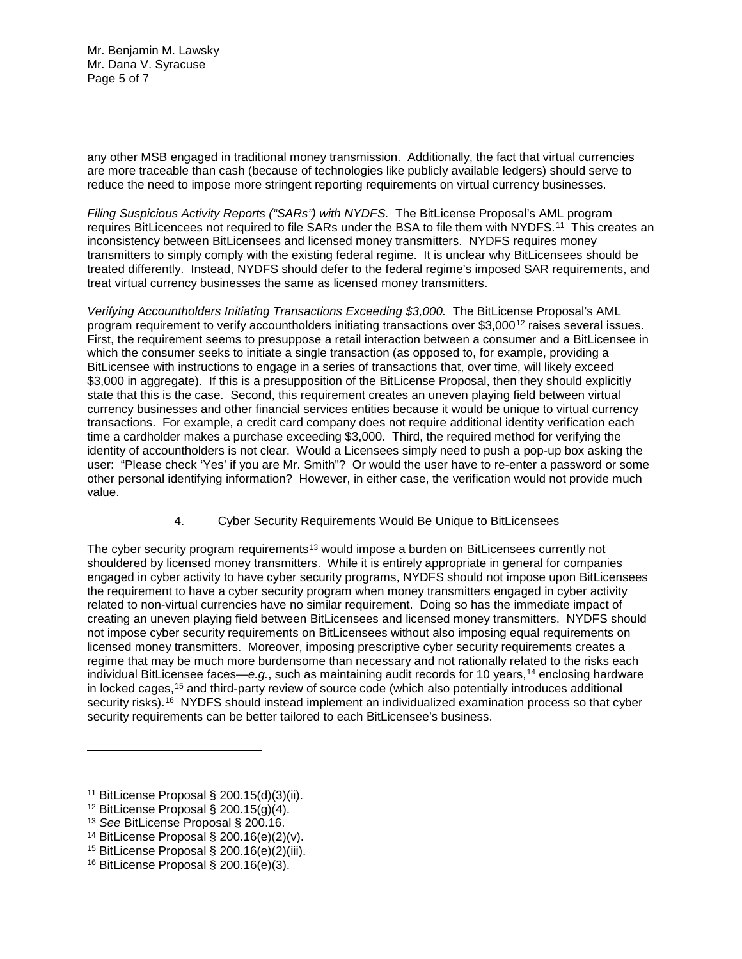Mr. Benjamin M. Lawsky Mr. Dana V. Syracuse Page 5 of 7

any other MSB engaged in traditional money transmission. Additionally, the fact that virtual currencies are more traceable than cash (because of technologies like publicly available ledgers) should serve to reduce the need to impose more stringent reporting requirements on virtual currency businesses.

*Filing Suspicious Activity Reports ("SARs") with NYDFS.* The BitLicense Proposal's AML program requires BitLicencees not required to file SARs under the BSA to file them with NYDFS.<sup>[11](#page-4-0)</sup> This creates an inconsistency between BitLicensees and licensed money transmitters. NYDFS requires money transmitters to simply comply with the existing federal regime. It is unclear why BitLicensees should be treated differently. Instead, NYDFS should defer to the federal regime's imposed SAR requirements, and treat virtual currency businesses the same as licensed money transmitters.

*Verifying Accountholders Initiating Transactions Exceeding \$3,000.* The BitLicense Proposal's AML program requirement to verify accountholders initiating transactions over \$3,000[12](#page-4-1) raises several issues. First, the requirement seems to presuppose a retail interaction between a consumer and a BitLicensee in which the consumer seeks to initiate a single transaction (as opposed to, for example, providing a BitLicensee with instructions to engage in a series of transactions that, over time, will likely exceed \$3,000 in aggregate). If this is a presupposition of the BitLicense Proposal, then they should explicitly state that this is the case. Second, this requirement creates an uneven playing field between virtual currency businesses and other financial services entities because it would be unique to virtual currency transactions. For example, a credit card company does not require additional identity verification each time a cardholder makes a purchase exceeding \$3,000. Third, the required method for verifying the identity of accountholders is not clear. Would a Licensees simply need to push a pop-up box asking the user: "Please check 'Yes' if you are Mr. Smith"? Or would the user have to re-enter a password or some other personal identifying information? However, in either case, the verification would not provide much value.

4. Cyber Security Requirements Would Be Unique to BitLicensees

The cyber security program requirements<sup>[13](#page-4-2)</sup> would impose a burden on BitLicensees currently not shouldered by licensed money transmitters. While it is entirely appropriate in general for companies engaged in cyber activity to have cyber security programs, NYDFS should not impose upon BitLicensees the requirement to have a cyber security program when money transmitters engaged in cyber activity related to non-virtual currencies have no similar requirement. Doing so has the immediate impact of creating an uneven playing field between BitLicensees and licensed money transmitters. NYDFS should not impose cyber security requirements on BitLicensees without also imposing equal requirements on licensed money transmitters. Moreover, imposing prescriptive cyber security requirements creates a regime that may be much more burdensome than necessary and not rationally related to the risks each individual BitLicensee faces—*e.g.*, such as maintaining audit records for 10 years,[14](#page-4-3) enclosing hardware in locked cages,<sup>[15](#page-4-4)</sup> and third-party review of source code (which also potentially introduces additional security risks).<sup>16</sup> NYDFS should instead implement an individualized examination process so that cyber security requirements can be better tailored to each BitLicensee's business.

<span id="page-4-0"></span><sup>11</sup> BitLicense Proposal § 200.15(d)(3)(ii).

<span id="page-4-1"></span><sup>&</sup>lt;sup>12</sup> BitLicense Proposal § 200.15 $(q)(4)$ .

<span id="page-4-2"></span><sup>13</sup> *See* BitLicense Proposal § 200.16.

<span id="page-4-3"></span><sup>14</sup> BitLicense Proposal § 200.16(e)(2)(v).

<span id="page-4-4"></span><sup>&</sup>lt;sup>15</sup> BitLicense Proposal § 200.16(e)(2)(iii).

<span id="page-4-5"></span><sup>16</sup> BitLicense Proposal § 200.16(e)(3).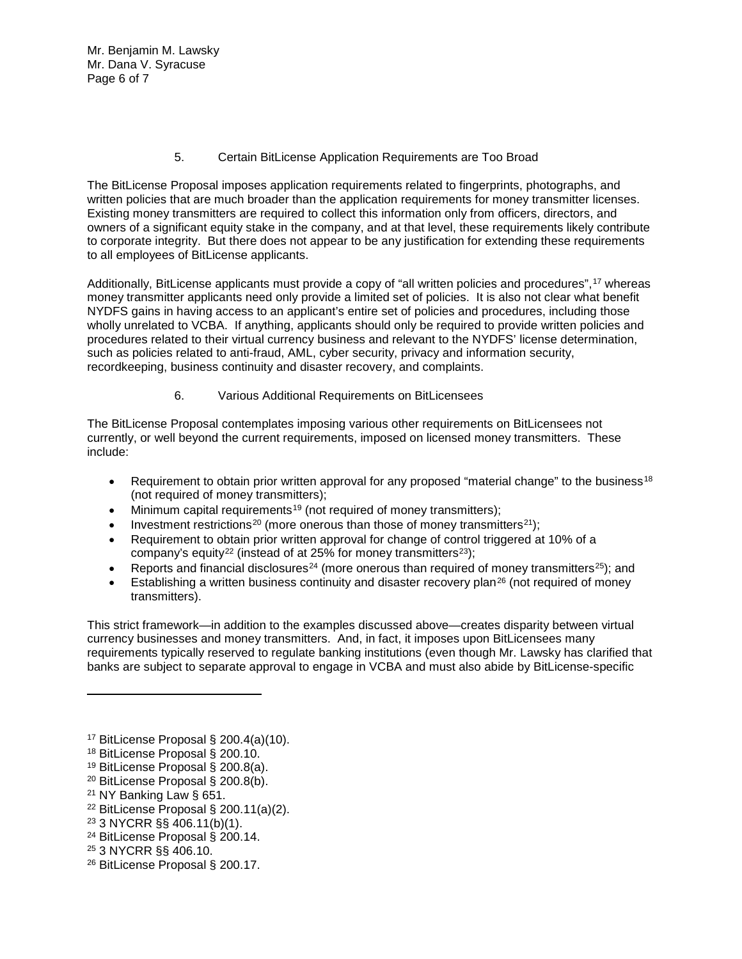Mr. Benjamin M. Lawsky Mr. Dana V. Syracuse Page 6 of 7

5. Certain BitLicense Application Requirements are Too Broad

The BitLicense Proposal imposes application requirements related to fingerprints, photographs, and written policies that are much broader than the application requirements for money transmitter licenses. Existing money transmitters are required to collect this information only from officers, directors, and owners of a significant equity stake in the company, and at that level, these requirements likely contribute to corporate integrity. But there does not appear to be any justification for extending these requirements to all employees of BitLicense applicants.

Additionally, BitLicense applicants must provide a copy of "all written policies and procedures",[17](#page-5-0) whereas money transmitter applicants need only provide a limited set of policies. It is also not clear what benefit NYDFS gains in having access to an applicant's entire set of policies and procedures, including those wholly unrelated to VCBA. If anything, applicants should only be required to provide written policies and procedures related to their virtual currency business and relevant to the NYDFS' license determination, such as policies related to anti-fraud, AML, cyber security, privacy and information security, recordkeeping, business continuity and disaster recovery, and complaints.

6. Various Additional Requirements on BitLicensees

The BitLicense Proposal contemplates imposing various other requirements on BitLicensees not currently, or well beyond the current requirements, imposed on licensed money transmitters. These include:

- Requirement to obtain prior written approval for any proposed "material change" to the business<sup>[18](#page-5-1)</sup> (not required of money transmitters);
- Minimum capital requirements<sup>[19](#page-5-2)</sup> (not required of money transmitters);
- Investment restrictions<sup>[20](#page-5-3)</sup> (more onerous than those of money transmitters<sup>21</sup>);
- Requirement to obtain prior written approval for change of control triggered at 10% of a company's equity<sup>[22](#page-5-5)</sup> (instead of at 25% for money transmitters<sup>[23](#page-5-6)</sup>);
- Reports and financial disclosures<sup>[24](#page-5-7)</sup> (more onerous than required of money transmitters<sup>25</sup>); and
- Establishing a written business continuity and disaster recovery plan<sup>[26](#page-5-9)</sup> (not required of money transmitters).

This strict framework—in addition to the examples discussed above—creates disparity between virtual currency businesses and money transmitters. And, in fact, it imposes upon BitLicensees many requirements typically reserved to regulate banking institutions (even though Mr. Lawsky has clarified that banks are subject to separate approval to engage in VCBA and must also abide by BitLicense-specific

- <span id="page-5-5"></span><sup>22</sup> BitLicense Proposal § 200.11(a)(2).
- <span id="page-5-6"></span><sup>23</sup> 3 NYCRR §§ 406.11(b)(1).
- <span id="page-5-7"></span><sup>24</sup> BitLicense Proposal § 200.14.
- <span id="page-5-8"></span><sup>25</sup> 3 NYCRR §§ 406.10.

<span id="page-5-0"></span><sup>17</sup> BitLicense Proposal § 200.4(a)(10).

<span id="page-5-1"></span><sup>18</sup> BitLicense Proposal § 200.10.

<span id="page-5-2"></span><sup>19</sup> BitLicense Proposal § 200.8(a).

<span id="page-5-3"></span><sup>20</sup> BitLicense Proposal § 200.8(b).

<span id="page-5-4"></span><sup>21</sup> NY Banking Law § 651.

<span id="page-5-9"></span><sup>26</sup> BitLicense Proposal § 200.17.